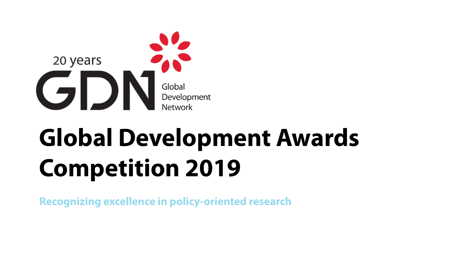

# **Global Development Awards Competition 2019**

**Recognizing excellence in policy-oriented research**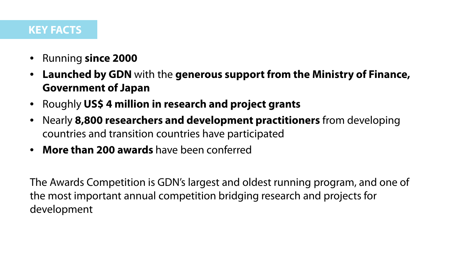#### **KEY FACTS**

- Running **since 2000**
- **Launched by GDN** with the **generous support from the Ministry of Finance, Government of Japan**
- Roughly **US\$ 4 million in research and project grants**
- Nearly **8,800 researchers and development practitioners** from developing countries and transition countries have participated
- **More than 200 awards** have been conferred

The Awards Competition is GDN's largest and oldest running program, and one of the most important annual competition bridging research and projects for development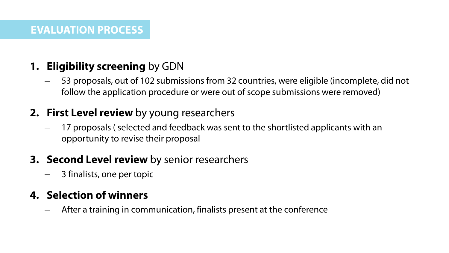# **1. Eligibility screening** by GDN

– 53 proposals, out of 102 submissions from 32 countries, were eligible (incomplete, did not follow the application procedure or were out of scope submissions were removed)

# **2. First Level review** by young researchers

– 17 proposals ( selected and feedback was sent to the shortlisted applicants with an opportunity to revise their proposal

## **3. Second Level review** by senior researchers

– 3 finalists, one per topic

# **4. Selection of winners**

– After a training in communication, finalists present at the conference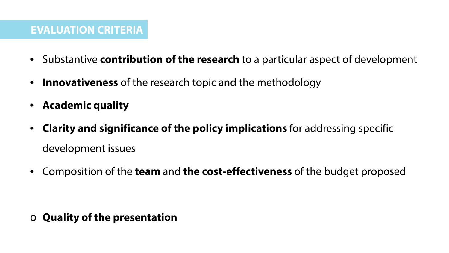#### **EVALUATION CRITERIA**

- Substantive **contribution of the research** to a particular aspect of development
- **Innovativeness** of the research topic and the methodology
- **Academic quality**
- **Clarity and significance of the policy implications** for addressing specific development issues
- Composition of the **team** and **the cost-effectiveness** of the budget proposed

o **Quality of the presentation**